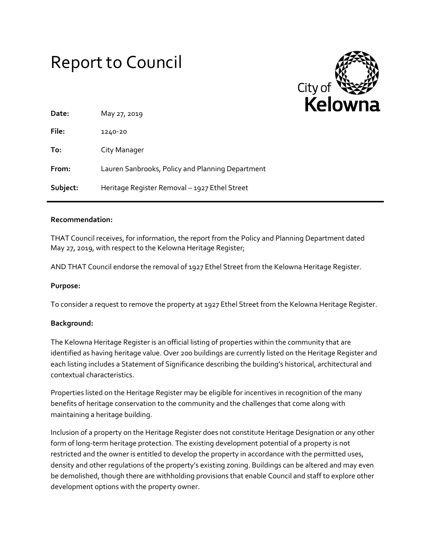# Report to Council



| Date:    | May 27, 2019                                     |
|----------|--------------------------------------------------|
| File:    | 1240-20                                          |
| To:      | City Manager                                     |
| From:    | Lauren Sanbrooks, Policy and Planning Department |
| Subject: | Heritage Register Removal - 1927 Ethel Street    |

#### **Recommendation:**

THAT Council receives, for information, the report from the Policy and Planning Department dated May 27, 2019, with respect to the Kelowna Heritage Register;

AND THAT Council endorse the removal of 1927 Ethel Street from the Kelowna Heritage Register.

#### **Purpose:**

To consider a request to remove the property at 1927 Ethel Street from the Kelowna Heritage Register.

# **Background:**

The Kelowna Heritage Register is an official listing of properties within the community that are identified as having heritage value. Over 200 buildings are currently listed on the Heritage Register and each listing includes a Statement of Significance describing the building's historical, architectural and contextual characteristics.

Properties listed on the Heritage Register may be eligible for incentives in recognition of the many benefits of heritage conservation to the community and the challenges that come along with maintaining a heritage building.

Inclusion of a property on the Heritage Register does not constitute Heritage Designation or any other form of long-term heritage protection. The existing development potential of a property is not restricted and the owner is entitled to develop the property in accordance with the permitted uses, density and other regulations of the property's existing zoning. Buildings can be altered and may even be demolished, though there are withholding provisions that enable Council and staff to explore other development options with the property owner.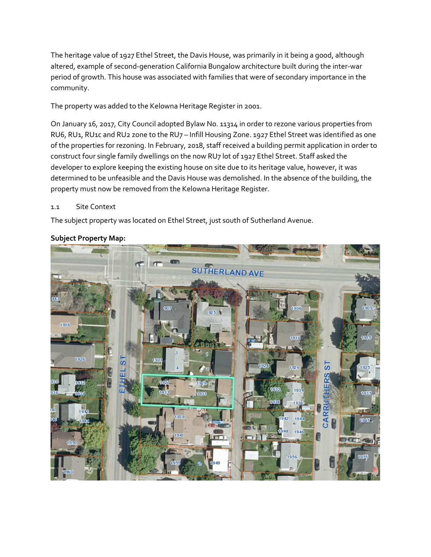The heritage value of 1927 Ethel Street, the Davis House, was primarily in it being a good, although altered, example of second-generation California Bungalow architecture built during the inter-war period of growth. This house was associated with families that were of secondary importance in the community.

The property was added to the Kelowna Heritage Register in 2001.

On January 16, 2017, City Council adopted Bylaw No. 11314 in order to rezone various properties from RU6, RU1, RU1c and RU2 zone to the RU7 - Infill Housing Zone. 1927 Ethel Street was identified as one of the properties for rezoning. In February, 2018, staff received a building permit application in order to construct four single family dwellings on the now RU7 lot of 1927 Ethel Street. Staff asked the developer to explore keeping the existing house on site due to its heritage value, however, it was determined to be unfeasible and the Davis House was demolished. In the absence of the building, the property must now be removed from the Kelowna Heritage Register.

# 1.1 Site Context

The subject property was located on Ethel Street, just south of Sutherland Avenue.



# **Subject Property Map:**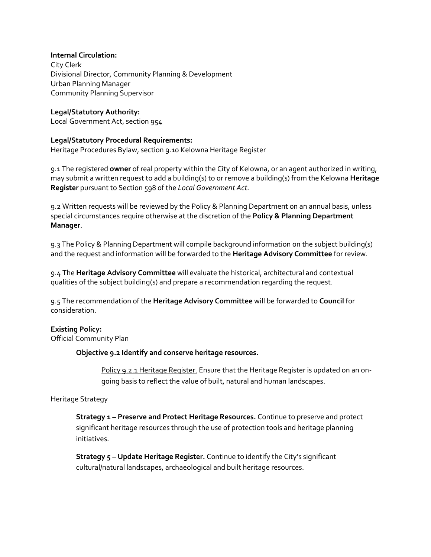#### **Internal Circulation:**

City Clerk Divisional Director, Community Planning & Development Urban Planning Manager Community Planning Supervisor

#### **Legal/Statutory Authority:**

Local Government Act, section 954

#### **Legal/Statutory Procedural Requirements:**

Heritage Procedures Bylaw, section 9.10 Kelowna Heritage Register

9.1 The registered **owner** of real property within the City of Kelowna, or an agent authorized in writing, may submit a written request to add a building(s) to or remove a building(s) from the Kelowna **Heritage Register** pursuant to Section 598 of the *Local Government Act*.

9.2 Written requests will be reviewed by the Policy & Planning Department on an annual basis, unless special circumstances require otherwise at the discretion of the **Policy & Planning Department Manager**.

9.3 The Policy & Planning Department will compile background information on the subject building(s) and the request and information will be forwarded to the **Heritage Advisory Committee** for review.

9.4 The **Heritage Advisory Committee** will evaluate the historical, architectural and contextual qualities of the subject building(s) and prepare a recommendation regarding the request.

9.5 The recommendation of the **Heritage Advisory Committee** will be forwarded to **Council** for consideration.

# **Existing Policy:**

Official Community Plan

#### **Objective 9.2 Identify and conserve heritage resources.**

Policy 9.2.1 Heritage Register. Ensure that the Heritage Register is updated on an ongoing basis to reflect the value of built, natural and human landscapes.

# Heritage Strategy

**Strategy 1 – Preserve and Protect Heritage Resources.** Continue to preserve and protect significant heritage resources through the use of protection tools and heritage planning initiatives.

**Strategy 5 – Update Heritage Register.** Continue to identify the City's significant cultural/natural landscapes, archaeological and built heritage resources.